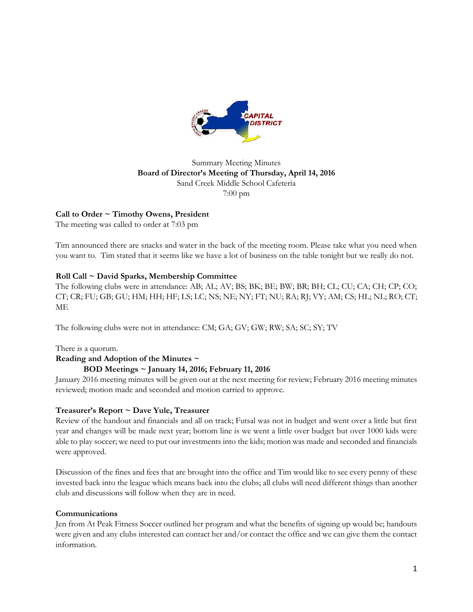

## Summary Meeting Minutes **Board of Director's Meeting of Thursday, April 14, 2016** Sand Creek Middle School Cafeteria 7:00 pm

# **Call to Order ~ Timothy Owens, President**

The meeting was called to order at 7:03 pm

Tim announced there are snacks and water in the back of the meeting room. Please take what you need when you want to. Tim stated that it seems like we have a lot of business on the table tonight but we really do not.

# **Roll Call ~ David Sparks, Membership Committee**

The following clubs were in attendance: AB; AL; AV; BS; BK; BE; BW; BR; BH; CL; CU; CA; CH; CP; CO; CT; CR; FU; GB; GU; HM; HH; HF; LS; LC; NS; NE; NY; FT; NU; RA; RJ; VY; AM; CS; HL; NL; RO; CT; ME

The following clubs were not in attendance: CM; GA; GV; GW; RW; SA; SC; SY; TV

There is a quorum.

### **Reading and Adoption of the Minutes ~**

### **BOD Meetings ~ January 14, 2016; February 11, 2016**

January 2016 meeting minutes will be given out at the next meeting for review; February 2016 meeting minutes reviewed; motion made and seconded and motion carried to approve.

# **Treasurer's Report ~ Dave Yule, Treasurer**

Review of the handout and financials and all on track; Futsal was not in budget and went over a little but first year and changes will be made next year; bottom line is we went a little over budget but over 1000 kids were able to play soccer; we need to put our investments into the kids; motion was made and seconded and financials were approved.

Discussion of the fines and fees that are brought into the office and Tim would like to see every penny of these invested back into the league which means back into the clubs; all clubs will need different things than another club and discussions will follow when they are in need.

### **Communications**

Jen from At Peak Fitness Soccer outlined her program and what the benefits of signing up would be; handouts were given and any clubs interested can contact her and/or contact the office and we can give them the contact information.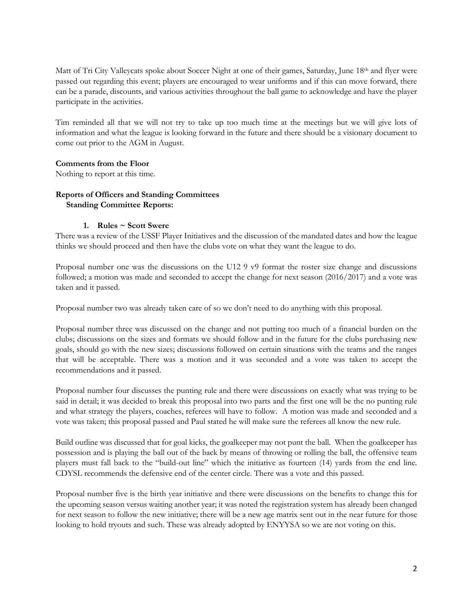Matt of Tri City Valleycats spoke about Soccer Night at one of their games, Saturday, June 18<sup>th</sup> and flyer were passed out regarding this event; players are encouraged to wear uniforms and if this can move forward, there can be a parade, discounts, and various activities throughout the ball game to acknowledge and have the player participate in the activities.

Tim reminded all that we will not try to take up too much time at the meetings but we will give lots of information and what the league is looking forward in the future and there should be a visionary document to come out prior to the AGM in August.

### **Comments from the Floor**

Nothing to report at this time.

## **Reports of Officers and Standing Committees Standing Committee Reports:**

### **1. Rules ~ Scott Swere**

There was a review of the USSF Player Initiatives and the discussion of the mandated dates and how the league thinks we should proceed and then have the clubs vote on what they want the league to do.

Proposal number one was the discussions on the U12 9 v9 format the roster size change and discussions followed; a motion was made and seconded to accept the change for next season (2016/2017) and a vote was taken and it passed.

Proposal number two was already taken care of so we don't need to do anything with this proposal.

Proposal number three was discussed on the change and not putting too much of a financial burden on the clubs; discussions on the sizes and formats we should follow and in the future for the clubs purchasing new goals, should go with the new sizes; discussions followed on certain situations with the teams and the ranges that will be acceptable. There was a motion and it was seconded and a vote was taken to accept the recommendations and it passed.

Proposal number four discusses the punting rule and there were discussions on exactly what was trying to be said in detail; it was decided to break this proposal into two parts and the first one will be the no punting rule and what strategy the players, coaches, referees will have to follow. A motion was made and seconded and a vote was taken; this proposal passed and Paul stated he will make sure the referees all know the new rule.

Build outline was discussed that for goal kicks, the goalkeeper may not punt the ball. When the goalkeeper has possession and is playing the ball out of the back by means of throwing or rolling the ball, the offensive team players must fall back to the "build-out line" which the initiative as fourteen (14) yards from the end line. CDYSL recommends the defensive end of the center circle. There was a vote and this passed.

Proposal number five is the birth year initiative and there were discussions on the benefits to change this for the upcoming season versus waiting another year; it was noted the registration system has already been changed for next season to follow the new initiative; there will be a new age matrix sent out in the near future for those looking to hold tryouts and such. These was already adopted by ENYYSA so we are not voting on this.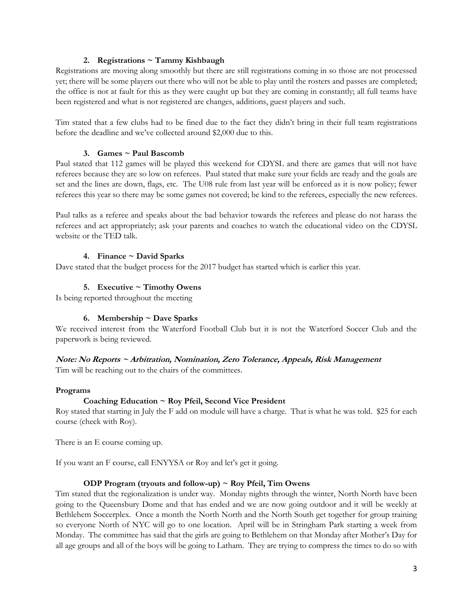### **2. Registrations ~ Tammy Kishbaugh**

Registrations are moving along smoothly but there are still registrations coming in so those are not processed yet; there will be some players out there who will not be able to play until the rosters and passes are completed; the office is not at fault for this as they were caught up but they are coming in constantly; all full teams have been registered and what is not registered are changes, additions, guest players and such.

Tim stated that a few clubs had to be fined due to the fact they didn't bring in their full team registrations before the deadline and we've collected around \$2,000 due to this.

#### **3. Games ~ Paul Bascomb**

Paul stated that 112 games will be played this weekend for CDYSL and there are games that will not have referees because they are so low on referees. Paul stated that make sure your fields are ready and the goals are set and the lines are down, flags, etc. The U08 rule from last year will be enforced as it is now policy; fewer referees this year so there may be some games not covered; be kind to the referees, especially the new referees.

Paul talks as a referee and speaks about the bad behavior towards the referees and please do not harass the referees and act appropriately; ask your parents and coaches to watch the educational video on the CDYSL website or the TED talk.

### **4. Finance ~ David Sparks**

Dave stated that the budget process for the 2017 budget has started which is earlier this year.

### **5. Executive ~ Timothy Owens**

Is being reported throughout the meeting

### **6. Membership ~ Dave Sparks**

We received interest from the Waterford Football Club but it is not the Waterford Soccer Club and the paperwork is being reviewed.

### **Note: No Reports ~ Arbitration, Nomination, Zero Tolerance, Appeals, Risk Management**

Tim will be reaching out to the chairs of the committees.

#### **Programs**

### **Coaching Education ~ Roy Pfeil, Second Vice President**

Roy stated that starting in July the F add on module will have a charge. That is what he was told. \$25 for each course (check with Roy).

There is an E course coming up.

If you want an F course, call ENYYSA or Roy and let's get it going.

#### **ODP Program (tryouts and follow-up) ~ Roy Pfeil, Tim Owens**

Tim stated that the regionalization is under way. Monday nights through the winter, North North have been going to the Queensbury Dome and that has ended and we are now going outdoor and it will be weekly at Bethlehem Soccerplex. Once a month the North North and the North South get together for group training so everyone North of NYC will go to one location. April will be in Stringham Park starting a week from Monday. The committee has said that the girls are going to Bethlehem on that Monday after Mother's Day for all age groups and all of the boys will be going to Latham. They are trying to compress the times to do so with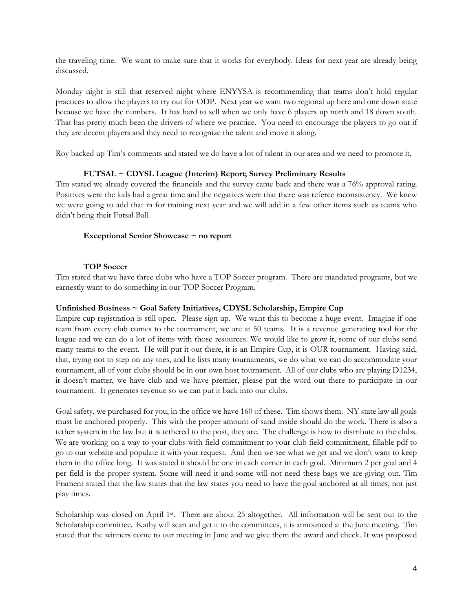the traveling time. We want to make sure that it works for everybody. Ideas for next year are already being discussed.

Monday night is still that reserved night where ENYYSA is recommending that teams don't hold regular practices to allow the players to try out for ODP. Next year we want two regional up here and one down state because we have the numbers. It has hard to sell when we only have 6 players up north and 18 down south. That has pretty much been the drivers of where we practice. You need to encourage the players to go out if they are decent players and they need to recognize the talent and move it along.

Roy backed up Tim's comments and stated we do have a lot of talent in our area and we need to promote it.

### **FUTSAL ~ CDYSL League (Interim) Report; Survey Preliminary Results**

Tim stated we already covered the financials and the survey came back and there was a 76% approval rating. Positives were the kids had a great time and the negatives were that there was referee inconsistency. We knew we were going to add that in for training next year and we will add in a few other items such as teams who didn't bring their Futsal Ball.

#### **Exceptional Senior Showcase ~ no report**

#### **TOP Soccer**

Tim stated that we have three clubs who have a TOP Soccer program. There are mandated programs, but we earnestly want to do something in our TOP Soccer Program.

#### **Unfinished Business ~ Goal Safety Initiatives, CDYSL Scholarship, Empire Cup**

Empire cup registration is still open. Please sign up. We want this to become a huge event. Imagine if one team from every club comes to the tournament, we are at 50 teams. It is a revenue generating tool for the league and we can do a lot of items with those resources. We would like to grow it, some of our clubs send many teams to the event. He will put it out there, it is an Empire Cup, it is OUR tournament. Having said, that, trying not to step on any toes, and he lists many tournaments, we do what we can do accommodate your tournament, all of your clubs should be in our own host tournament. All of our clubs who are playing D1234, it doesn't matter, we have club and we have premier, please put the word out there to participate in our tournament. It generates revenue so we can put it back into our clubs.

Goal safety, we purchased for you, in the office we have 160 of these. Tim shows them. NY state law all goals must be anchored properly. This with the proper amount of sand inside should do the work. There is also a tether system in the law but it is tethered to the post, they are. The challenge is how to distribute to the clubs. We are working on a way to your clubs with field commitment to your club field commitment, fillable pdf to go to our website and populate it with your request. And then we see what we get and we don't want to keep them in the office long. It was stated it should be one in each corner in each goal. Minimum 2 per goal and 4 per field is the proper system. Some will need it and some will not need these bags we are giving out. Tim Frament stated that the law states that the law states you need to have the goal anchored at all times, not just play times.

Scholarship was closed on April 1<sup>st</sup>. There are about 25 altogether. All information will be sent out to the Scholarship committee. Kathy will scan and get it to the committees, it is announced at the June meeting. Tim stated that the winners come to our meeting in June and we give them the award and check. It was proposed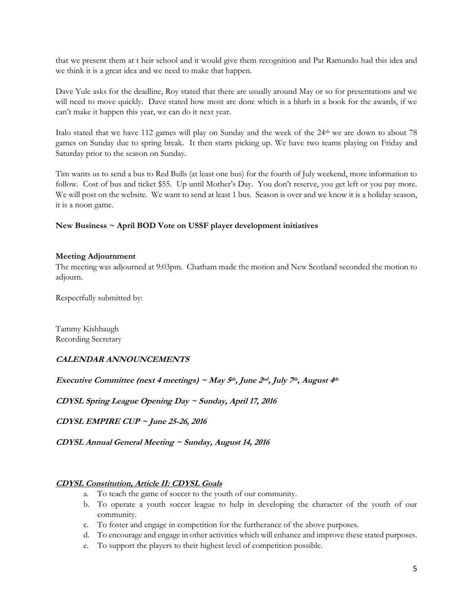that we present them at t heir school and it would give them recognition and Pat Ramundo had this idea and we think it is a great idea and we need to make that happen.

Dave Yule asks for the deadline, Roy stated that there are usually around May or so for presentations and we will need to move quickly. Dave stated how most are done which is a blurb in a book for the awards, if we can't make it happen this year, we can do it next year.

Italo stated that we have 112 games will play on Sunday and the week of the 24th we are down to about 78 games on Sunday due to spring break. It then starts picking up. We have two teams playing on Friday and Saturday prior to the season on Sunday.

Tim wants us to send a bus to Red Bulls (at least one bus) for the fourth of July weekend, more information to follow. Cost of bus and ticket \$55. Up until Mother's Day. You don't reserve, you get left or you pay more. We will post on the website. We want to send at least 1 bus. Season is over and we know it is a holiday season, it is a noon game.

### **New Business ~ April BOD Vote on USSF player development initiatives**

#### **Meeting Adjournment**

The meeting was adjourned at 9:03pm. Chatham made the motion and New Scotland seconded the motion to adjourn.

Respectfully submitted by:

Tammy Kishbaugh Recording Secretary

# **CALENDAR ANNOUNCEMENTS**

**Executive Committee (next 4 meetings) ~ May 5th, June 2nd, July 7th, August 4th**

**CDYSL Spring League Opening Day ~ Sunday, April 17, 2016**

**CDYSL EMPIRE CUP ~ June 25-26, 2016**

**CDYSL Annual General Meeting ~ Sunday, August 14, 2016**

### **CDYSL Constitution, Article II: CDYSL Goals**

- a. To teach the game of soccer to the youth of our community.
- b. To operate a youth soccer league to help in developing the character of the youth of our community.
- c. To foster and engage in competition for the furtherance of the above purposes.
- d. To encourage and engage in other activities which will enhance and improve these stated purposes.
- e. To support the players to their highest level of competition possible.